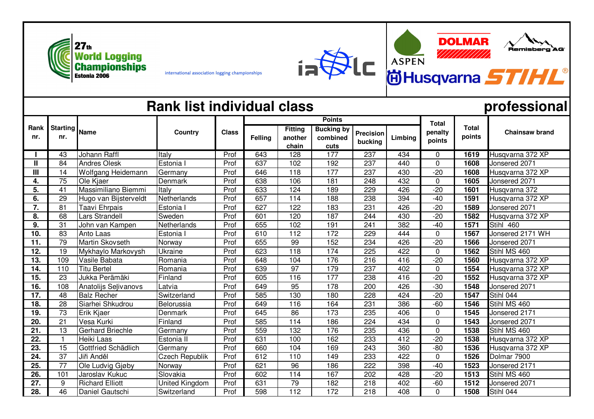



international association logging championships

## **Rank list individual class professional**

**Numberg** 

`AG

**DOLMAR** 

////////

|                | <b>Starting</b><br>nr. | <b>Name</b>            | Country               | <b>Class</b> |                |                    | <b>Points</b>                 |                  | <b>Total</b> |             |                        |                       |
|----------------|------------------------|------------------------|-----------------------|--------------|----------------|--------------------|-------------------------------|------------------|--------------|-------------|------------------------|-----------------------|
| Rank<br>nr.    |                        |                        |                       |              | <b>Felling</b> | Fitting<br>another | <b>Bucking by</b><br>combined | <b>Precision</b> | Limbing      | penalty     | <b>Total</b><br>points | <b>Chainsaw brand</b> |
|                |                        |                        |                       |              |                | chain              | cuts                          | bucking          |              | points      |                        |                       |
|                | 43                     | <b>Johann Raffl</b>    | Italy                 | Prof         | 643            | $\overline{128}$   | 177                           | 237              | 434          | 0           | 1619                   | Husqvarna 372 XP      |
| $\mathbf{I}$   | 84                     | <b>Andres Olesk</b>    | Estonia I             | Prof         | 637            | 102                | 192                           | 237              | 440          | 0           | 1608                   | Jonsered 2071         |
| $\mathbf{III}$ | 14                     | Wolfgang Heidemann     | Germany               | Prof         | 646            | 118                | 177                           | 237              | 430          | $-20$       | 1608                   | Husqvarna 372 XP      |
| 4.             | 75                     | Ole Kjaer              | Denmark               | Prof         | 638            | 106                | 181                           | 248              | 432          | $\mathbf 0$ | 1605                   | Jonsered 2071         |
| 5.             | 41                     | Massimiliano Biemmi    | Italy                 | Prof         | 633            | 124                | 189                           | 229              | 426          | $-20$       | 1601                   | Husqvarna 372         |
| 6.             | 29                     | Hugo van Bijsterveldt  | Netherlands           | Prof         | 657            | 114                | 188                           | 238              | 394          | $-40$       | 1591                   | Husqvarna 372 XP      |
| 7.             | 81                     | Taavi Ehrpais          | Estonia I             | Prof         | 627            | 122                | 183                           | 231              | 426          | $-20$       | 1589                   | Jonsered 2071         |
| 8.             | 68                     | Lars Strandell         | Sweden                | Prof         | 601            | 120                | 187                           | 244              | 430          | $-20$       | 1582                   | Husqvarna 372 XP      |
| 9.             | 31                     | John van Kampen        | Netherlands           | Prof         | 655            | 102                | 191                           | 241              | 382          | $-40$       | 1571                   | Stihl 460             |
| 10.            | 83                     | Anto Laas              | Estonia I             | Prof         | 610            | 112                | 172                           | 229              | 444          | $\Omega$    | 1567                   | Jonsered 2171 WH      |
| 11.            | 79                     | Martin Skovseth        | Norway                | Prof         | 655            | 99                 | 152                           | 234              | 426          | $-20$       | 1566                   | Jonsered 2071         |
| 12.            | 19                     | Mykhaylo Markovysh     | Ukraine               | Prof         | 623            | $\overline{118}$   | 174                           | $\overline{225}$ | 422          | $\mathbf 0$ | 1562                   | Stihl MS 460          |
| 13.            | 109                    | Vasile Babata          | Romania               | Prof         | 648            | 104                | 176                           | 216              | 416          | $-20$       | 1560                   | Husqvarna 372 XP      |
| 14.            | 110                    | <b>Titu Bertel</b>     | Romania               | Prof         | 639            | 97                 | 179                           | 237              | 402          | $\mathbf 0$ | 1554                   | Husqvarna 372 XP      |
| 15.            | $\overline{23}$        | Jukka Perämäki         | Finland               | Prof         | 605            | 116                | 177                           | 238              | 416          | $-20$       | 1552                   | Husqvarna 372 XP      |
| 16.            | 108                    | Anatolijs Selivanovs   | Latvia                | Prof         | 649            | 95                 | 178                           | 200              | 426          | $-30$       | 1548                   | Jonsered 2071         |
| 17.            | 48                     | <b>Balz Recher</b>     | Switzerland           | Prof         | 585            | 130                | 180                           | 228              | 424          | $-20$       | 1547                   | Stihl 044             |
| 18.            | 28                     | Siarhei Shkudrou       | Belorussia            | Prof         | 649            | 116                | 164                           | 231              | 386          | $-60$       | 1546                   | Stihl MS 460          |
| 19.            | 73                     | Erik Kjaer             | Denmark               | Prof         | 645            | 86                 | 173                           | 235              | 406          | $\mathbf 0$ | 1545                   | Jonsered 2171         |
| 20.            | 21                     | Vesa Kurki             | Finland               | Prof         | 585            | 114                | 186                           | 224              | 434          | $\mathbf 0$ | 1543                   | Jonsered 2071         |
| 21.            | 13                     | Gerhard Briechle       | Germany               | Prof         | 559            | 132                | 176                           | 235              | 436          | 0           | 1538                   | Stihl MS 460          |
| 22.            |                        | Heiki Laas             | Estonia II            | Prof         | 631            | 100                | 162                           | 233              | 412          | $-20$       | 1538                   | Husqvarna 372 XP      |
| 23.            | 15                     | Gottfried Schädlich    | Germany               | Prof         | 660            | 104                | 169                           | 243              | 360          | $-80$       | 1536                   | Husqvarna 372 XP      |
| 24.            | 37                     | Jiři Anděl             | <b>Czech Republik</b> | Prof         | 612            | 110                | 149                           | 233              | 422          | 0           | 1526                   | Dolmar 7900           |
| 25.            | 77                     | Ole Ludvig Gjøby       | Norway                | Prof         | 621            | 96                 | 186                           | 222              | 398          | $-40$       | 1523                   | Jonsered 2171         |
| 26.            | 101                    | Jaroslav Kukuc         | Slovakia              | Prof         | 602            | 114                | 167                           | 202              | 428          | $-20$       | 1513                   | Stihl MS 460          |
| 27.            | 9                      | <b>Richard Elliott</b> | United Kingdom        | Prof         | 631            | $\overline{79}$    | 182                           | 218              | 402          | $-60$       | 1512                   | Jonsered 2071         |
| 28.            | 46                     | Daniel Gautschi        | Switzerland           | Prof         | 598            | 112                | 172                           | 218              | 408          | 0           | 1508                   | Stihl 044             |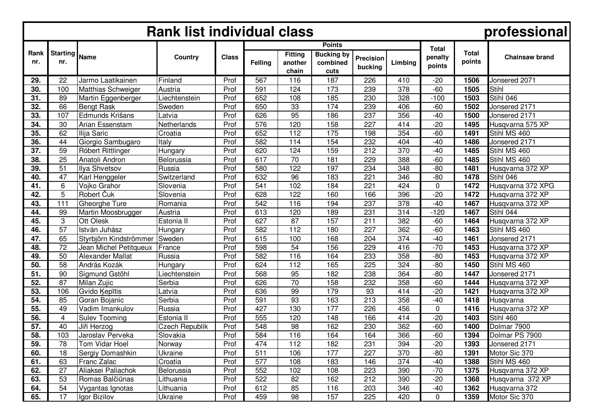| <b>Rank list individual class</b><br>professional |                        |                         |                       |              |         |                                    |                                                        |                             |                  |                                   |                        |                       |
|---------------------------------------------------|------------------------|-------------------------|-----------------------|--------------|---------|------------------------------------|--------------------------------------------------------|-----------------------------|------------------|-----------------------------------|------------------------|-----------------------|
| Rank<br>nr.                                       | <b>Starting</b><br>nr. | Name                    | Country               | <b>Class</b> | Felling | <b>Fitting</b><br>another<br>chain | <b>Points</b><br><b>Bucking</b> by<br>combined<br>cuts | <b>Precision</b><br>bucking | Limbing          | <b>Total</b><br>penalty<br>points | <b>Total</b><br>points | <b>Chainsaw brand</b> |
| 29.                                               | 22                     | Jarmo Laatikainen       | Finland               | Prof         | 567     | 116                                | 187                                                    | 226                         | 410              | $-20$                             | 1506                   | Jonsered 2071         |
| 30.                                               | 100                    | Matthias Schweiger      | Austria               | Prof         | 591     | 124                                | 173                                                    | 239                         | 378              | $-60$                             | 1505                   | Stihl                 |
| 31.                                               | 89                     | Martin Eggenberger      | Liechtenstein         | Prof         | 652     | 108                                | 185                                                    | 230                         | 328              | $-100$                            | 1503                   | Stihl 046             |
| 32.                                               | 66                     | <b>Bengt Rask</b>       | Sweden                | Prof         | 650     | 33                                 | 174                                                    | 239                         | 406              | $-60$                             | 1502                   | Jonsered 2171         |
| 33.                                               | 107                    | Edmunds Krišans         | Latvia                | Prof         | 626     | 95                                 | 186                                                    | 237                         | 356              | $-40$                             | 1500                   | Jonsered 2171         |
| 34.                                               | 30                     | Arian Essenstam         | Netherlands           | Prof         | 576     | 120                                | 158                                                    | 227                         | 414              | $-20$                             | 1495                   | Husqvarna 575 XP      |
| 35.                                               | 62                     | Ilija Saric             | Croatia               | Prof         | 652     | 112                                | 175                                                    | 198                         | 354              | $-60$                             | 1491                   | Stihl MS 460          |
| 36.                                               | 44                     | Giorgio Sambugaro       | Italy                 | Prof         | 582     | 114                                | 154                                                    | 232                         | 404              | $-40$                             | 1486                   | Jonsered 2171         |
| 37.                                               | 59                     | Róbert Rittlinger       | Hungary               | Prof         | 620     | 124                                | 159                                                    | 212                         | 370              | $-40$                             | 1485                   | Stihl MS 460          |
| 38.                                               | 25                     | Anatoli Andron          | Belorussia            | Prof         | 617     | 70                                 | 181                                                    | 229                         | 388              | $-60$                             | 1485                   | Stihl MS 460          |
| 39.                                               | 51                     | Ilva Shvetsov           | Russia                | Prof         | 580     | 122                                | 197                                                    | 234                         | 348              | $-80$                             | 1481                   | Husqvarna 372 XP      |
| 40.                                               | 47                     | Karl Henggeler          | Switzerland           | Prof         | 632     | $\overline{96}$                    | 183                                                    | $\overline{221}$            | 346              | $-80$                             | 1478                   | Stihl 046             |
| 41.                                               | 6                      | Voiko Grahor            | Slovenia              | Prof         | 541     | 102                                | 184                                                    | 221                         | 424              | 0                                 | 1472                   | Husqvarna 372 XPG     |
| 42.                                               | 5                      | Robert Čuk              | Slovenia              | Prof         | 628     | 122                                | 160                                                    | 166                         | 396              | $-20$                             | 1472                   | Husqvarna 372 XP      |
| 43.                                               | 111                    | Gheorghe Ture           | Romania               | Prof         | 542     | 116                                | 194                                                    | 237                         | $\overline{378}$ | $-40$                             | 1467                   | Husqvarna 372 XP      |
| 44.                                               | 99                     | Martin Moosbrugger      | Austria               | Prof         | 613     | 120                                | 189                                                    | 231                         | 314              | $-120$                            | 1467                   | Stihl 044             |
| 45.                                               | 3                      | <b>Ott Olesk</b>        | Estonia II            | Prof         | 627     | 87                                 | 157                                                    | 211                         | 382              | $-60$                             | 1464                   | Husqvarna 372 XP      |
| 46.                                               | 57                     | István Juhász           | Hungary               | Prof         | 582     | 112                                | 180                                                    | 227                         | 362              | $-60$                             | 1463                   | Stihl MS 460          |
| 47.                                               | 65                     | Styrbjörn Kindströmmer  | Sweden                | Prof         | 615     | 100                                | 168                                                    | 204                         | 374              | $-40$                             | 1461                   | Jonsered 2171         |
| 48.                                               | 72                     | Jean Michel Petitqueux  | France                | Prof         | 598     | 54                                 | 156                                                    | 229                         | 416              | $-70$                             | 1453                   | Husqvarna 372 XP      |
| 49.                                               | 50                     | <b>Alexander Mallat</b> | Russia                | Prof         | 582     | 116                                | 164                                                    | 233                         | 358              | $-80$                             | 1453                   | Husqvarna 372 XP      |
| 50.                                               | 58                     | András Kozák            | Hungary               | Prof         | 624     | 112                                | 165                                                    | 225                         | 324              | $-80$                             | 1450                   | Stihl MS 460          |
| 51.                                               | 90                     | Sigmund Gstöhl          | _iechtenstein         | Prof         | 568     | 95                                 | 182                                                    | 238                         | 364              | $-80$                             | 1447                   | Jonsered 2171         |
| 52.                                               | 87                     | Milan Zujic             | Serbia                | Prof         | 626     | 70                                 | 158                                                    | 232                         | 358              | $-60$                             | 1444                   | Husqvarna 372 XP      |
| 53.                                               | 106                    | Gvido Kepītis           | Latvia                | Prof         | 636     | 99                                 | 179                                                    | 93                          | 414              | $-20$                             | 1421                   | Husqvarna 372 XP      |
| 54.                                               | 85                     | Goran Bojanic           | Serbia                | Prof         | 591     | 93                                 | 163                                                    | 213                         | 358              | $-40$                             | 1418                   | Husqvarna             |
| 55.                                               | 49                     | Vadim Imankulov         | Russia                | Prof         | 427     | 130                                | 177                                                    | 226                         | 456              | 0                                 | 1416                   | Husqvarna 372 XP      |
| 56.                                               | 4                      | <b>Sulev Tooming</b>    | Estonia II            | Prof         | 555     | 120                                | 148                                                    | 166                         | 414              | $-20$                             | 1403                   | Stihl 460             |
| 57.                                               | 40                     | Jiři Herzog             | <b>Czech Republik</b> | Prof         | 548     | 98                                 | 162                                                    | 230                         | 362              | $-60$                             | 1400                   | Dolmar 7900           |
| 58.                                               | 103                    | Jaroslav Perveka        | Slovakia              | Prof         | 584     | 116                                | 164                                                    | 164                         | 366              | $-60$                             | 1394                   | Dolmar PS 7900        |
| 59.                                               | 78                     | Tom Vidar Hoel          | Norway                | Prof         | 474     | 112                                | 182                                                    | 231                         | 394              | $-20$                             | 1393                   | Jonsered 2171         |
| 60.                                               | 18                     | Sergiy Domashkin        | Ukraine               | Prof         | 511     | 106                                | 177                                                    | 227                         | 370              | $-80$                             | 1391                   | Motor Sic 370         |
| 61.                                               | 63                     | Franc Zalac             | Croatia               | Prof         | 577     | 108                                | 183                                                    | 146                         | 374              | $-40$                             | 1388                   | Stihl MS 460          |
| 62.                                               | 27                     | Aliaksei Paliachok      | Belorussia            | Prof         | 552     | 102                                | 108                                                    | 223                         | 390              | $-70$                             | 1375                   | Husqvarna 372 XP      |
| 63.                                               | 53                     | Romas Balčiūnas         | Lithuania             | Prof         | 522     | 82                                 | 162                                                    | 212                         | 390              | $-20$                             | 1368                   | Husqvarna 372 XP      |
| 64.                                               | 54                     | Vygantas Ignotas        | Lithuania             | Prof         | 612     | 85                                 | 116                                                    | 203                         | 346              | $-40$                             | 1362                   | Husqvarna 372         |
| 65.                                               | 17                     | Igor Bizilov            | Ukraine               | Prof         | 459     | 98                                 | 157                                                    | 225                         | 420              | 0                                 | 1359                   | Motor Sic 370         |